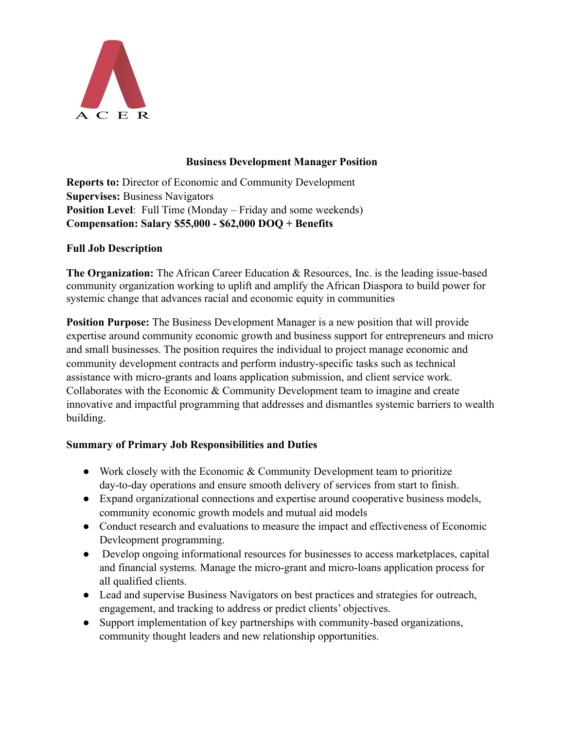

# **Business Development Manager Position**

**Reports to:** Director of Economic and Community Development **Supervises:** Business Navigators **Position Level**: Full Time (Monday – Friday and some weekends) **Compensation: Salary \$55,000 - \$62,000 DOQ + Benefits**

# **Full Job Description**

**The Organization:** The African Career Education & Resources, Inc. is the leading issue-based community organization working to uplift and amplify the African Diaspora to build power for systemic change that advances racial and economic equity in communities

**Position Purpose:** The Business Development Manager is a new position that will provide expertise around community economic growth and business support for entrepreneurs and micro and small businesses. The position requires the individual to project manage economic and community development contracts and perform industry-specific tasks such as technical assistance with micro-grants and loans application submission, and client service work. Collaborates with the Economic & Community Development team to imagine and create innovative and impactful programming that addresses and dismantles systemic barriers to wealth building.

# **Summary of Primary Job Responsibilities and Duties**

- Work closely with the Economic  $&$  Community Development team to prioritize day-to-day operations and ensure smooth delivery of services from start to finish.
- Expand organizational connections and expertise around cooperative business models, community economic growth models and mutual aid models
- Conduct research and evaluations to measure the impact and effectiveness of Economic Devleopment programming.
- Develop ongoing informational resources for businesses to access marketplaces, capital and financial systems. Manage the micro-grant and micro-loans application process for all qualified clients.
- Lead and supervise Business Navigators on best practices and strategies for outreach, engagement, and tracking to address or predict clients' objectives.
- Support implementation of key partnerships with community-based organizations, community thought leaders and new relationship opportunities.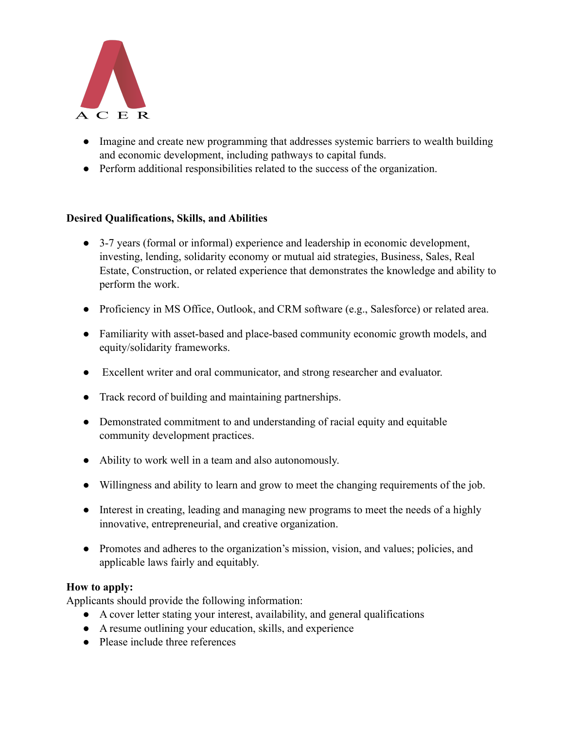

- Imagine and create new programming that addresses systemic barriers to wealth building and economic development, including pathways to capital funds.
- Perform additional responsibilities related to the success of the organization.

## **Desired Qualifications, Skills, and Abilities**

- 3-7 years (formal or informal) experience and leadership in economic development, investing, lending, solidarity economy or mutual aid strategies, Business, Sales, Real Estate, Construction, or related experience that demonstrates the knowledge and ability to perform the work.
- Proficiency in MS Office, Outlook, and CRM software (e.g., Salesforce) or related area.
- Familiarity with asset-based and place-based community economic growth models, and equity/solidarity frameworks.
- Excellent writer and oral communicator, and strong researcher and evaluator.
- Track record of building and maintaining partnerships.
- Demonstrated commitment to and understanding of racial equity and equitable community development practices.
- Ability to work well in a team and also autonomously.
- Willingness and ability to learn and grow to meet the changing requirements of the job.
- Interest in creating, leading and managing new programs to meet the needs of a highly innovative, entrepreneurial, and creative organization.
- Promotes and adheres to the organization's mission, vision, and values; policies, and applicable laws fairly and equitably.

## **How to apply:**

Applicants should provide the following information:

- A cover letter stating your interest, availability, and general qualifications
- A resume outlining your education, skills, and experience
- Please include three references